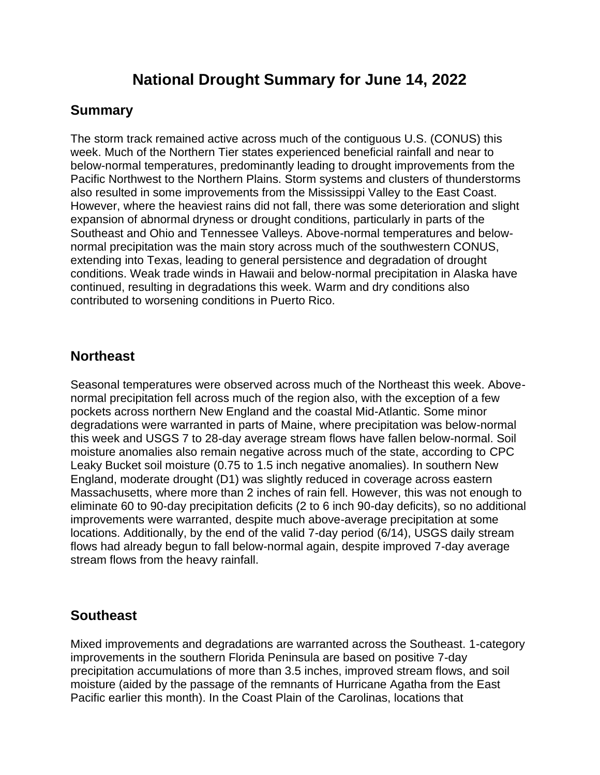# **National Drought Summary for June 14, 2022**

## **Summary**

The storm track remained active across much of the contiguous U.S. (CONUS) this week. Much of the Northern Tier states experienced beneficial rainfall and near to below-normal temperatures, predominantly leading to drought improvements from the Pacific Northwest to the Northern Plains. Storm systems and clusters of thunderstorms also resulted in some improvements from the Mississippi Valley to the East Coast. However, where the heaviest rains did not fall, there was some deterioration and slight expansion of abnormal dryness or drought conditions, particularly in parts of the Southeast and Ohio and Tennessee Valleys. Above-normal temperatures and belownormal precipitation was the main story across much of the southwestern CONUS, extending into Texas, leading to general persistence and degradation of drought conditions. Weak trade winds in Hawaii and below-normal precipitation in Alaska have continued, resulting in degradations this week. Warm and dry conditions also contributed to worsening conditions in Puerto Rico.

## **Northeast**

Seasonal temperatures were observed across much of the Northeast this week. Abovenormal precipitation fell across much of the region also, with the exception of a few pockets across northern New England and the coastal Mid-Atlantic. Some minor degradations were warranted in parts of Maine, where precipitation was below-normal this week and USGS 7 to 28-day average stream flows have fallen below-normal. Soil moisture anomalies also remain negative across much of the state, according to CPC Leaky Bucket soil moisture (0.75 to 1.5 inch negative anomalies). In southern New England, moderate drought (D1) was slightly reduced in coverage across eastern Massachusetts, where more than 2 inches of rain fell. However, this was not enough to eliminate 60 to 90-day precipitation deficits (2 to 6 inch 90-day deficits), so no additional improvements were warranted, despite much above-average precipitation at some locations. Additionally, by the end of the valid 7-day period (6/14), USGS daily stream flows had already begun to fall below-normal again, despite improved 7-day average stream flows from the heavy rainfall.

## **Southeast**

Mixed improvements and degradations are warranted across the Southeast. 1-category improvements in the southern Florida Peninsula are based on positive 7-day precipitation accumulations of more than 3.5 inches, improved stream flows, and soil moisture (aided by the passage of the remnants of Hurricane Agatha from the East Pacific earlier this month). In the Coast Plain of the Carolinas, locations that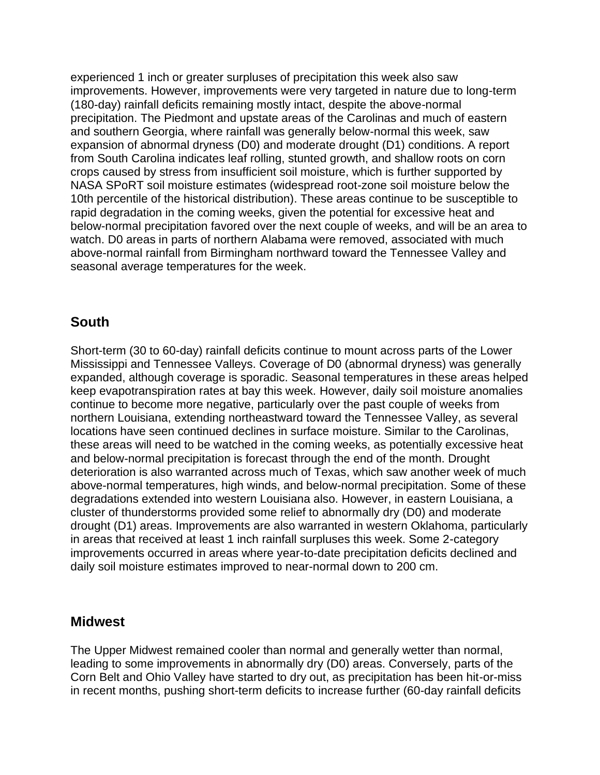experienced 1 inch or greater surpluses of precipitation this week also saw improvements. However, improvements were very targeted in nature due to long-term (180-day) rainfall deficits remaining mostly intact, despite the above-normal precipitation. The Piedmont and upstate areas of the Carolinas and much of eastern and southern Georgia, where rainfall was generally below-normal this week, saw expansion of abnormal dryness (D0) and moderate drought (D1) conditions. A report from South Carolina indicates leaf rolling, stunted growth, and shallow roots on corn crops caused by stress from insufficient soil moisture, which is further supported by NASA SPoRT soil moisture estimates (widespread root-zone soil moisture below the 10th percentile of the historical distribution). These areas continue to be susceptible to rapid degradation in the coming weeks, given the potential for excessive heat and below-normal precipitation favored over the next couple of weeks, and will be an area to watch. D0 areas in parts of northern Alabama were removed, associated with much above-normal rainfall from Birmingham northward toward the Tennessee Valley and seasonal average temperatures for the week.

## **South**

Short-term (30 to 60-day) rainfall deficits continue to mount across parts of the Lower Mississippi and Tennessee Valleys. Coverage of D0 (abnormal dryness) was generally expanded, although coverage is sporadic. Seasonal temperatures in these areas helped keep evapotranspiration rates at bay this week. However, daily soil moisture anomalies continue to become more negative, particularly over the past couple of weeks from northern Louisiana, extending northeastward toward the Tennessee Valley, as several locations have seen continued declines in surface moisture. Similar to the Carolinas, these areas will need to be watched in the coming weeks, as potentially excessive heat and below-normal precipitation is forecast through the end of the month. Drought deterioration is also warranted across much of Texas, which saw another week of much above-normal temperatures, high winds, and below-normal precipitation. Some of these degradations extended into western Louisiana also. However, in eastern Louisiana, a cluster of thunderstorms provided some relief to abnormally dry (D0) and moderate drought (D1) areas. Improvements are also warranted in western Oklahoma, particularly in areas that received at least 1 inch rainfall surpluses this week. Some 2-category improvements occurred in areas where year-to-date precipitation deficits declined and daily soil moisture estimates improved to near-normal down to 200 cm.

#### **Midwest**

The Upper Midwest remained cooler than normal and generally wetter than normal, leading to some improvements in abnormally dry (D0) areas. Conversely, parts of the Corn Belt and Ohio Valley have started to dry out, as precipitation has been hit-or-miss in recent months, pushing short-term deficits to increase further (60-day rainfall deficits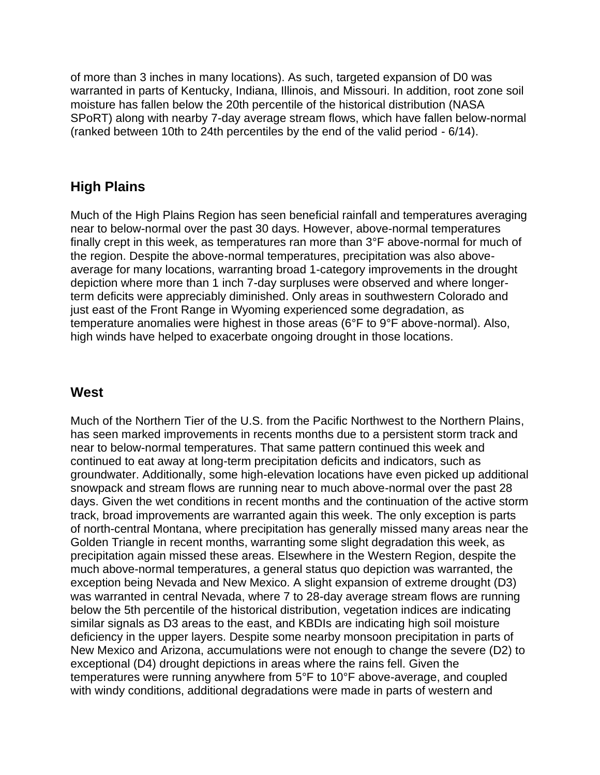of more than 3 inches in many locations). As such, targeted expansion of D0 was warranted in parts of Kentucky, Indiana, Illinois, and Missouri. In addition, root zone soil moisture has fallen below the 20th percentile of the historical distribution (NASA SPoRT) along with nearby 7-day average stream flows, which have fallen below-normal (ranked between 10th to 24th percentiles by the end of the valid period - 6/14).

## **High Plains**

Much of the High Plains Region has seen beneficial rainfall and temperatures averaging near to below-normal over the past 30 days. However, above-normal temperatures finally crept in this week, as temperatures ran more than 3°F above-normal for much of the region. Despite the above-normal temperatures, precipitation was also aboveaverage for many locations, warranting broad 1-category improvements in the drought depiction where more than 1 inch 7-day surpluses were observed and where longerterm deficits were appreciably diminished. Only areas in southwestern Colorado and just east of the Front Range in Wyoming experienced some degradation, as temperature anomalies were highest in those areas (6°F to 9°F above-normal). Also, high winds have helped to exacerbate ongoing drought in those locations.

## **West**

Much of the Northern Tier of the U.S. from the Pacific Northwest to the Northern Plains, has seen marked improvements in recents months due to a persistent storm track and near to below-normal temperatures. That same pattern continued this week and continued to eat away at long-term precipitation deficits and indicators, such as groundwater. Additionally, some high-elevation locations have even picked up additional snowpack and stream flows are running near to much above-normal over the past 28 days. Given the wet conditions in recent months and the continuation of the active storm track, broad improvements are warranted again this week. The only exception is parts of north-central Montana, where precipitation has generally missed many areas near the Golden Triangle in recent months, warranting some slight degradation this week, as precipitation again missed these areas. Elsewhere in the Western Region, despite the much above-normal temperatures, a general status quo depiction was warranted, the exception being Nevada and New Mexico. A slight expansion of extreme drought (D3) was warranted in central Nevada, where 7 to 28-day average stream flows are running below the 5th percentile of the historical distribution, vegetation indices are indicating similar signals as D3 areas to the east, and KBDIs are indicating high soil moisture deficiency in the upper layers. Despite some nearby monsoon precipitation in parts of New Mexico and Arizona, accumulations were not enough to change the severe (D2) to exceptional (D4) drought depictions in areas where the rains fell. Given the temperatures were running anywhere from 5°F to 10°F above-average, and coupled with windy conditions, additional degradations were made in parts of western and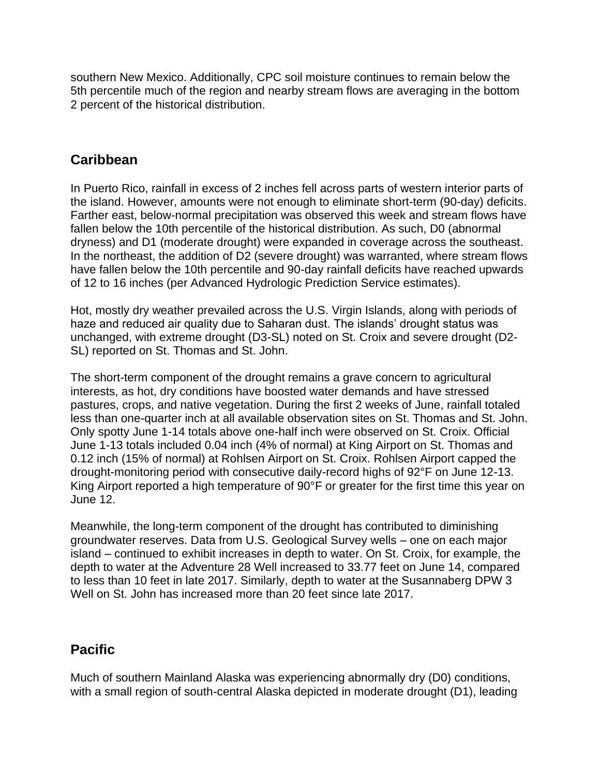southern New Mexico. Additionally, CPC soil moisture continues to remain below the 5th percentile much of the region and nearby stream flows are averaging in the bottom 2 percent of the historical distribution.

## **Caribbean**

In Puerto Rico, rainfall in excess of 2 inches fell across parts of western interior parts of the island. However, amounts were not enough to eliminate short-term (90-day) deficits. Farther east, below-normal precipitation was observed this week and stream flows have fallen below the 10th percentile of the historical distribution. As such, D0 (abnormal dryness) and D1 (moderate drought) were expanded in coverage across the southeast. In the northeast, the addition of D2 (severe drought) was warranted, where stream flows have fallen below the 10th percentile and 90-day rainfall deficits have reached upwards of 12 to 16 inches (per Advanced Hydrologic Prediction Service estimates).

Hot, mostly dry weather prevailed across the U.S. Virgin Islands, along with periods of haze and reduced air quality due to Saharan dust. The islands' drought status was unchanged, with extreme drought (D3-SL) noted on St. Croix and severe drought (D2- SL) reported on St. Thomas and St. John.

The short-term component of the drought remains a grave concern to agricultural interests, as hot, dry conditions have boosted water demands and have stressed pastures, crops, and native vegetation. During the first 2 weeks of June, rainfall totaled less than one-quarter inch at all available observation sites on St. Thomas and St. John. Only spotty June 1-14 totals above one-half inch were observed on St. Croix. Official June 1-13 totals included 0.04 inch (4% of normal) at King Airport on St. Thomas and 0.12 inch (15% of normal) at Rohlsen Airport on St. Croix. Rohlsen Airport capped the drought-monitoring period with consecutive daily-record highs of 92°F on June 12-13. King Airport reported a high temperature of 90°F or greater for the first time this year on June 12.

Meanwhile, the long-term component of the drought has contributed to diminishing groundwater reserves. Data from U.S. Geological Survey wells – one on each major island – continued to exhibit increases in depth to water. On St. Croix, for example, the depth to water at the Adventure 28 Well increased to 33.77 feet on June 14, compared to less than 10 feet in late 2017. Similarly, depth to water at the Susannaberg DPW 3 Well on St. John has increased more than 20 feet since late 2017.

## **Pacific**

Much of southern Mainland Alaska was experiencing abnormally dry (D0) conditions, with a small region of south-central Alaska depicted in moderate drought (D1), leading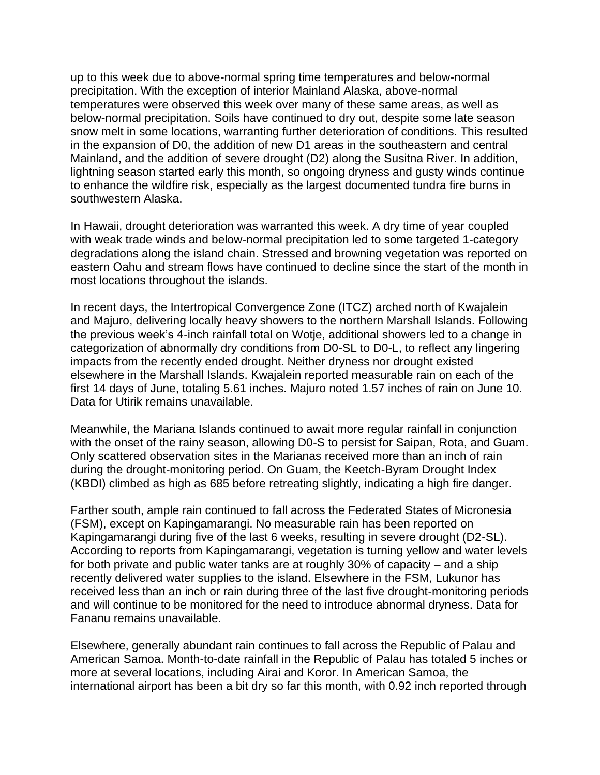up to this week due to above-normal spring time temperatures and below-normal precipitation. With the exception of interior Mainland Alaska, above-normal temperatures were observed this week over many of these same areas, as well as below-normal precipitation. Soils have continued to dry out, despite some late season snow melt in some locations, warranting further deterioration of conditions. This resulted in the expansion of D0, the addition of new D1 areas in the southeastern and central Mainland, and the addition of severe drought (D2) along the Susitna River. In addition, lightning season started early this month, so ongoing dryness and gusty winds continue to enhance the wildfire risk, especially as the largest documented tundra fire burns in southwestern Alaska.

In Hawaii, drought deterioration was warranted this week. A dry time of year coupled with weak trade winds and below-normal precipitation led to some targeted 1-category degradations along the island chain. Stressed and browning vegetation was reported on eastern Oahu and stream flows have continued to decline since the start of the month in most locations throughout the islands.

In recent days, the Intertropical Convergence Zone (ITCZ) arched north of Kwajalein and Majuro, delivering locally heavy showers to the northern Marshall Islands. Following the previous week's 4-inch rainfall total on Wotje, additional showers led to a change in categorization of abnormally dry conditions from D0-SL to D0-L, to reflect any lingering impacts from the recently ended drought. Neither dryness nor drought existed elsewhere in the Marshall Islands. Kwajalein reported measurable rain on each of the first 14 days of June, totaling 5.61 inches. Majuro noted 1.57 inches of rain on June 10. Data for Utirik remains unavailable.

Meanwhile, the Mariana Islands continued to await more regular rainfall in conjunction with the onset of the rainy season, allowing D0-S to persist for Saipan, Rota, and Guam. Only scattered observation sites in the Marianas received more than an inch of rain during the drought-monitoring period. On Guam, the Keetch-Byram Drought Index (KBDI) climbed as high as 685 before retreating slightly, indicating a high fire danger.

Farther south, ample rain continued to fall across the Federated States of Micronesia (FSM), except on Kapingamarangi. No measurable rain has been reported on Kapingamarangi during five of the last 6 weeks, resulting in severe drought (D2-SL). According to reports from Kapingamarangi, vegetation is turning yellow and water levels for both private and public water tanks are at roughly 30% of capacity – and a ship recently delivered water supplies to the island. Elsewhere in the FSM, Lukunor has received less than an inch or rain during three of the last five drought-monitoring periods and will continue to be monitored for the need to introduce abnormal dryness. Data for Fananu remains unavailable.

Elsewhere, generally abundant rain continues to fall across the Republic of Palau and American Samoa. Month-to-date rainfall in the Republic of Palau has totaled 5 inches or more at several locations, including Airai and Koror. In American Samoa, the international airport has been a bit dry so far this month, with 0.92 inch reported through